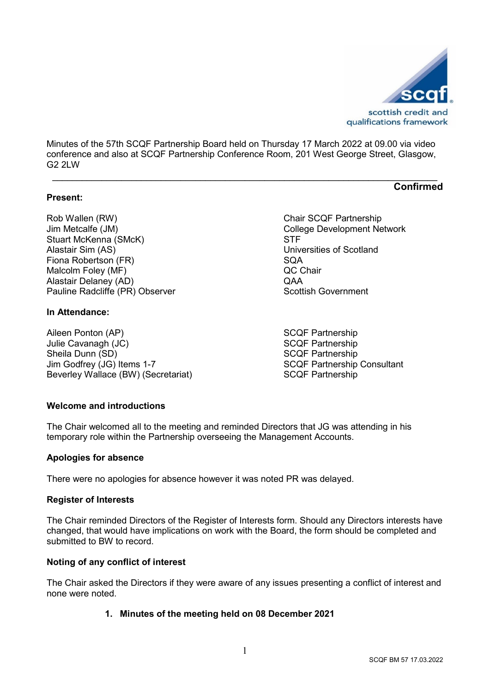

**Confirmed**

Minutes of the 57th SCQF Partnership Board held on Thursday 17 March 2022 at 09.00 via video conference and also at SCQF Partnership Conference Room, 201 West George Street, Glasgow, G2 2LW

**\_\_\_\_\_\_\_\_\_\_\_\_\_\_\_\_\_\_\_\_\_\_\_\_\_\_\_\_\_\_\_\_\_\_\_\_\_\_\_\_\_\_\_\_\_\_\_\_\_\_\_\_\_\_\_\_\_\_\_\_\_\_\_\_\_\_\_\_\_\_\_\_\_\_\_\_\_\_**

#### **Present:**

Rob Wallen (RW) Chair SCQF Partnership Jim Metcalfe (JM)  $\qquad \qquad \qquad \qquad$  College Development Network<br>Stuart McKenna (SMcK)  $\qquad \qquad \qquad$  STF Stuart McKenna (SMcK) Alastair Sim (AS) Universities of Scotland Fiona Robertson (FR) SQA Malcolm Foley (MF) QC Chair Alastair Delaney (AD) Pauline Radcliffe (PR) Observer Scottish Government

## **In Attendance:**

Aileen Ponton (AP) SCQF Partnership Julie Cavanagh (JC) SCQF Partnership Sheila Dunn (SD)<br>
Jim Godfrey (JG) Items 1-7 SCQF Partnership<br>
SCQF Partnership Beverley Wallace (BW) (Secretariat)

SCQF Partnership Consultant<br>SCQF Partnership

### **Welcome and introductions**

The Chair welcomed all to the meeting and reminded Directors that JG was attending in his temporary role within the Partnership overseeing the Management Accounts.

#### **Apologies for absence**

There were no apologies for absence however it was noted PR was delayed.

#### **Register of Interests**

The Chair reminded Directors of the Register of Interests form. Should any Directors interests have changed, that would have implications on work with the Board, the form should be completed and submitted to BW to record.

### **Noting of any conflict of interest**

The Chair asked the Directors if they were aware of any issues presenting a conflict of interest and none were noted.

# **1. Minutes of the meeting held on 08 December 2021**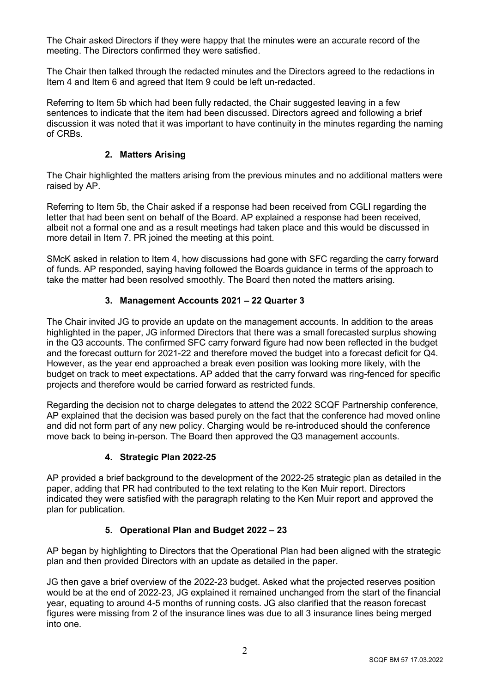The Chair asked Directors if they were happy that the minutes were an accurate record of the meeting. The Directors confirmed they were satisfied.

The Chair then talked through the redacted minutes and the Directors agreed to the redactions in Item 4 and Item 6 and agreed that Item 9 could be left un-redacted.

Referring to Item 5b which had been fully redacted, the Chair suggested leaving in a few sentences to indicate that the item had been discussed. Directors agreed and following a brief discussion it was noted that it was important to have continuity in the minutes regarding the naming of CRBs.

### **2. Matters Arising**

The Chair highlighted the matters arising from the previous minutes and no additional matters were raised by AP.

Referring to Item 5b, the Chair asked if a response had been received from CGLI regarding the letter that had been sent on behalf of the Board. AP explained a response had been received, albeit not a formal one and as a result meetings had taken place and this would be discussed in more detail in Item 7. PR joined the meeting at this point.

SMcK asked in relation to Item 4, how discussions had gone with SFC regarding the carry forward of funds. AP responded, saying having followed the Boards guidance in terms of the approach to take the matter had been resolved smoothly. The Board then noted the matters arising.

## **3. Management Accounts 2021 – 22 Quarter 3**

The Chair invited JG to provide an update on the management accounts. In addition to the areas highlighted in the paper, JG informed Directors that there was a small forecasted surplus showing in the Q3 accounts. The confirmed SFC carry forward figure had now been reflected in the budget and the forecast outturn for 2021-22 and therefore moved the budget into a forecast deficit for Q4. However, as the year end approached a break even position was looking more likely, with the budget on track to meet expectations. AP added that the carry forward was ring-fenced for specific projects and therefore would be carried forward as restricted funds.

Regarding the decision not to charge delegates to attend the 2022 SCQF Partnership conference, AP explained that the decision was based purely on the fact that the conference had moved online and did not form part of any new policy. Charging would be re-introduced should the conference move back to being in-person. The Board then approved the Q3 management accounts.

### **4. Strategic Plan 2022-25**

AP provided a brief background to the development of the 2022-25 strategic plan as detailed in the paper, adding that PR had contributed to the text relating to the Ken Muir report. Directors indicated they were satisfied with the paragraph relating to the Ken Muir report and approved the plan for publication.

# **5. Operational Plan and Budget 2022 – 23**

AP began by highlighting to Directors that the Operational Plan had been aligned with the strategic plan and then provided Directors with an update as detailed in the paper.

JG then gave a brief overview of the 2022-23 budget. Asked what the projected reserves position would be at the end of 2022-23, JG explained it remained unchanged from the start of the financial year, equating to around 4-5 months of running costs. JG also clarified that the reason forecast figures were missing from 2 of the insurance lines was due to all 3 insurance lines being merged into one.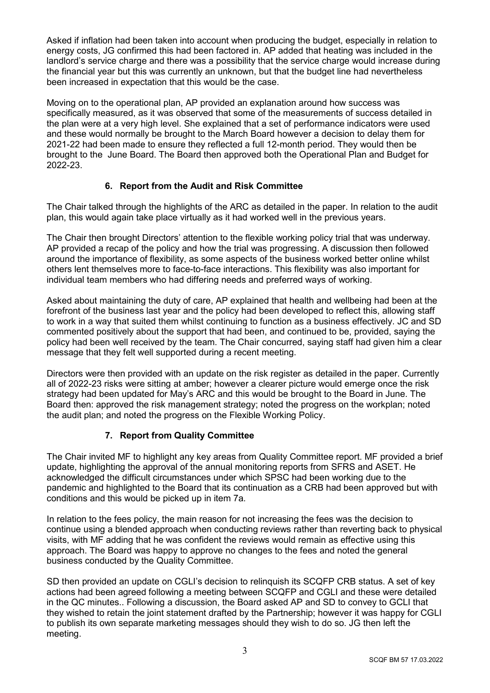Asked if inflation had been taken into account when producing the budget, especially in relation to energy costs, JG confirmed this had been factored in. AP added that heating was included in the landlord's service charge and there was a possibility that the service charge would increase during the financial year but this was currently an unknown, but that the budget line had nevertheless been increased in expectation that this would be the case.

Moving on to the operational plan, AP provided an explanation around how success was specifically measured, as it was observed that some of the measurements of success detailed in the plan were at a very high level. She explained that a set of performance indicators were used and these would normally be brought to the March Board however a decision to delay them for 2021-22 had been made to ensure they reflected a full 12-month period. They would then be brought to the June Board. The Board then approved both the Operational Plan and Budget for 2022-23.

# **6. Report from the Audit and Risk Committee**

The Chair talked through the highlights of the ARC as detailed in the paper. In relation to the audit plan, this would again take place virtually as it had worked well in the previous years.

The Chair then brought Directors' attention to the flexible working policy trial that was underway. AP provided a recap of the policy and how the trial was progressing. A discussion then followed around the importance of flexibility, as some aspects of the business worked better online whilst others lent themselves more to face-to-face interactions. This flexibility was also important for individual team members who had differing needs and preferred ways of working.

Asked about maintaining the duty of care, AP explained that health and wellbeing had been at the forefront of the business last year and the policy had been developed to reflect this, allowing staff to work in a way that suited them whilst continuing to function as a business effectively. JC and SD commented positively about the support that had been, and continued to be, provided, saying the policy had been well received by the team. The Chair concurred, saying staff had given him a clear message that they felt well supported during a recent meeting.

Directors were then provided with an update on the risk register as detailed in the paper. Currently all of 2022-23 risks were sitting at amber; however a clearer picture would emerge once the risk strategy had been updated for May's ARC and this would be brought to the Board in June. The Board then: approved the risk management strategy; noted the progress on the workplan; noted the audit plan; and noted the progress on the Flexible Working Policy.

# **7. Report from Quality Committee**

The Chair invited MF to highlight any key areas from Quality Committee report. MF provided a brief update, highlighting the approval of the annual monitoring reports from SFRS and ASET. He acknowledged the difficult circumstances under which SPSC had been working due to the pandemic and highlighted to the Board that its continuation as a CRB had been approved but with conditions and this would be picked up in item 7a.

In relation to the fees policy, the main reason for not increasing the fees was the decision to continue using a blended approach when conducting reviews rather than reverting back to physical visits, with MF adding that he was confident the reviews would remain as effective using this approach. The Board was happy to approve no changes to the fees and noted the general business conducted by the Quality Committee.

SD then provided an update on CGLI's decision to relinquish its SCQFP CRB status. A set of key actions had been agreed following a meeting between SCQFP and CGLI and these were detailed in the QC minutes.. Following a discussion, the Board asked AP and SD to convey to GCLI that they wished to retain the joint statement drafted by the Partnership; however it was happy for CGLI to publish its own separate marketing messages should they wish to do so. JG then left the meeting.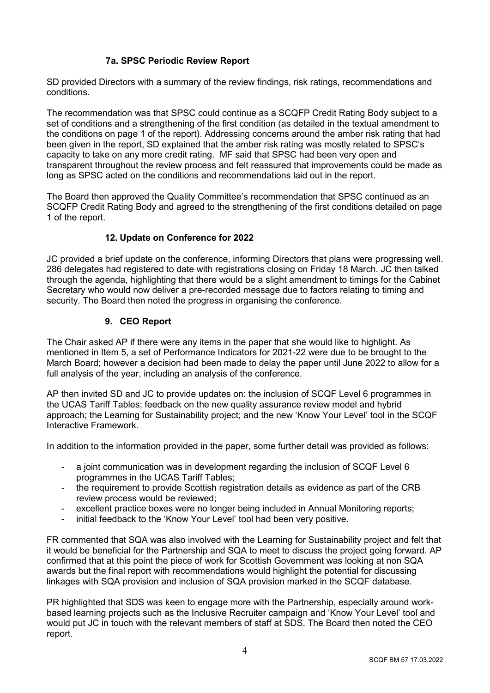# **7a. SPSC Periodic Review Report**

SD provided Directors with a summary of the review findings, risk ratings, recommendations and conditions.

The recommendation was that SPSC could continue as a SCQFP Credit Rating Body subject to a set of conditions and a strengthening of the first condition (as detailed in the textual amendment to the conditions on page 1 of the report). Addressing concerns around the amber risk rating that had been given in the report, SD explained that the amber risk rating was mostly related to SPSC's capacity to take on any more credit rating. MF said that SPSC had been very open and transparent throughout the review process and felt reassured that improvements could be made as long as SPSC acted on the conditions and recommendations laid out in the report.

The Board then approved the Quality Committee's recommendation that SPSC continued as an SCQFP Credit Rating Body and agreed to the strengthening of the first conditions detailed on page 1 of the report.

## **12. Update on Conference for 2022**

JC provided a brief update on the conference, informing Directors that plans were progressing well. 286 delegates had registered to date with registrations closing on Friday 18 March. JC then talked through the agenda, highlighting that there would be a slight amendment to timings for the Cabinet Secretary who would now deliver a pre-recorded message due to factors relating to timing and security. The Board then noted the progress in organising the conference.

### **9. CEO Report**

The Chair asked AP if there were any items in the paper that she would like to highlight. As mentioned in Item 5, a set of Performance Indicators for 2021-22 were due to be brought to the March Board; however a decision had been made to delay the paper until June 2022 to allow for a full analysis of the year, including an analysis of the conference.

AP then invited SD and JC to provide updates on: the inclusion of SCQF Level 6 programmes in the UCAS Tariff Tables; feedback on the new quality assurance review model and hybrid approach; the Learning for Sustainability project; and the new 'Know Your Level' tool in the SCQF Interactive Framework.

In addition to the information provided in the paper, some further detail was provided as follows:

- a joint communication was in development regarding the inclusion of SCQF Level 6 programmes in the UCAS Tariff Tables;
- the requirement to provide Scottish registration details as evidence as part of the CRB review process would be reviewed;
- excellent practice boxes were no longer being included in Annual Monitoring reports:
- initial feedback to the 'Know Your Level' tool had been very positive.

FR commented that SQA was also involved with the Learning for Sustainability project and felt that it would be beneficial for the Partnership and SQA to meet to discuss the project going forward. AP confirmed that at this point the piece of work for Scottish Government was looking at non SQA awards but the final report with recommendations would highlight the potential for discussing linkages with SQA provision and inclusion of SQA provision marked in the SCQF database.

PR highlighted that SDS was keen to engage more with the Partnership, especially around workbased learning projects such as the Inclusive Recruiter campaign and 'Know Your Level' tool and would put JC in touch with the relevant members of staff at SDS. The Board then noted the CEO report.